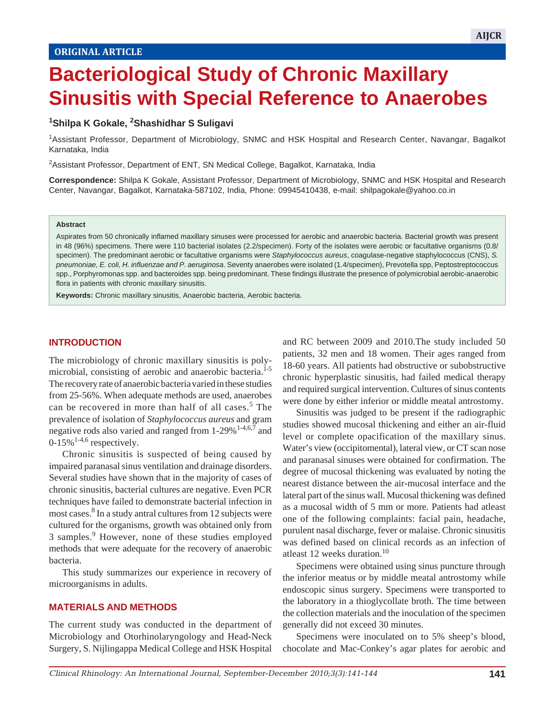# **Bacteriological Study of Chronic Maxillary Sinusitis with Special Reference to Anaerobes**

 $B_{\rm eff}$  Study of Chronic Maxillary Sinusitis with Special Reference to Anaerobese to Anaerobese to Anaerobese to Anaerobese to Anaerobese to Anaerobese to Anaerobese to Anaerobese to Anaerobese to Anaerobese to Anaerobes

## **1Shilpa K Gokale, 2Shashidhar S Suligavi**

1 Assistant Professor, Department of Microbiology, SNMC and HSK Hospital and Research Center, Navangar, Bagalkot Karnataka, India

<sup>2</sup>Assistant Professor, Department of ENT, SN Medical College, Bagalkot, Karnataka, India

**Correspondence:** Shilpa K Gokale, Assistant Professor, Department of Microbiology, SNMC and HSK Hospital and Research Center, Navangar, Bagalkot, Karnataka-587102, India, Phone: 09945410438, e-mail: shilpagokale@yahoo.co.in

#### **Abstract**

Aspirates from 50 chronically inflamed maxillary sinuses were processed for aerobic and anaerobic bacteria. Bacterial growth was present in 48 (96%) specimens. There were 110 bacterial isolates (2.2/specimen). Forty of the isolates were aerobic or facultative organisms (0.8/ specimen). The predominant aerobic or facultative organisms were *Staphylococcus aureus*, coagulase-negative staphylococcus (CNS), *S. pneumoniae, E. coli, H. influenzae and P. aeruginosa*. Seventy anaerobes were isolated (1.4/specimen), Prevotella spp, Peptostreptococcus spp., Porphyromonas spp. and bacteroides spp. being predominant. These findings illustrate the presence of polymicrobial aerobic-anaerobic flora in patients with chronic maxillary sinusitis.

**Keywords:** Chronic maxillary sinusitis, Anaerobic bacteria, Aerobic bacteria.

#### **INTRODUCTION**

The microbiology of chronic maxillary sinusitis is polymicrobial, consisting of aerobic and anaerobic bacteria.<sup>1-5</sup> The recovery rate of anaerobic bacteria varied in these studies from 25-56%. When adequate methods are used, anaerobes can be recovered in more than half of all cases.<sup>5</sup> The prevalence of isolation of *Staphylococcus aureus* and gram negative rods also varied and ranged from  $1-29\%$ <sup>1-4,6,7</sup> and  $0-15\%$ <sup>1-4,6</sup> respectively.

Chronic sinusitis is suspected of being caused by impaired paranasal sinus ventilation and drainage disorders. Several studies have shown that in the majority of cases of chronic sinusitis, bacterial cultures are negative. Even PCR techniques have failed to demonstrate bacterial infection in most cases.<sup>8</sup> In a study antral cultures from 12 subjects were cultured for the organisms, growth was obtained only from 3 samples.<sup>9</sup> However, none of these studies employed methods that were adequate for the recovery of anaerobic bacteria.

This study summarizes our experience in recovery of microorganisms in adults.

### **MATERIALS AND METHODS**

The current study was conducted in the department of Microbiology and Otorhinolaryngology and Head-Neck Surgery, S. Nijlingappa Medical College and HSK Hospital

and RC between 2009 and 2010.The study included 50 patients, 32 men and 18 women. Their ages ranged from 18-60 years. All patients had obstructive or subobstructive chronic hyperplastic sinusitis, had failed medical therapy and required surgical intervention. Cultures of sinus contents were done by either inferior or middle meatal antrostomy.

Sinusitis was judged to be present if the radiographic studies showed mucosal thickening and either an air-fluid level or complete opacification of the maxillary sinus. Water's view (occipitomental), lateral view, or CT scan nose and paranasal sinuses were obtained for confirmation. The degree of mucosal thickening was evaluated by noting the nearest distance between the air-mucosal interface and the lateral part of the sinus wall. Mucosal thickening was defined as a mucosal width of 5 mm or more. Patients had atleast one of the following complaints: facial pain, headache, purulent nasal discharge, fever or malaise. Chronic sinusitis was defined based on clinical records as an infection of atleast 12 weeks duration.10

Specimens were obtained using sinus puncture through the inferior meatus or by middle meatal antrostomy while endoscopic sinus surgery. Specimens were transported to the laboratory in a thioglycollate broth. The time between the collection materials and the inoculation of the specimen generally did not exceed 30 minutes.

Specimens were inoculated on to 5% sheep's blood, chocolate and Mac-Conkey's agar plates for aerobic and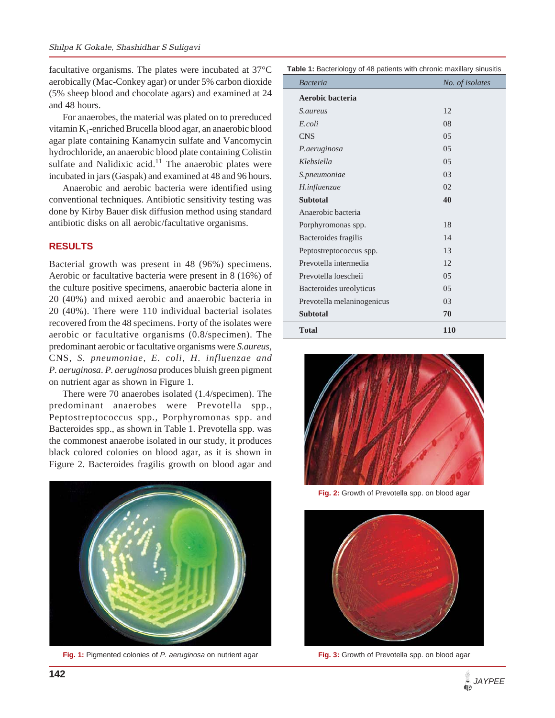facultative organisms. The plates were incubated at 37°C aerobically (Mac-Conkey agar) or under 5% carbon dioxide (5% sheep blood and chocolate agars) and examined at 24 and 48 hours.

For anaerobes, the material was plated on to prereduced vitamin  $K_1$ -enriched Brucella blood agar, an anaerobic blood agar plate containing Kanamycin sulfate and Vancomycin hydrochloride, an anaerobic blood plate containing Colistin sulfate and Nalidixic acid.<sup>11</sup> The anaerobic plates were incubated in jars (Gaspak) and examined at 48 and 96 hours.

Anaerobic and aerobic bacteria were identified using conventional techniques. Antibiotic sensitivity testing was done by Kirby Bauer disk diffusion method using standard antibiotic disks on all aerobic/facultative organisms.

## **RESULTS**

Bacterial growth was present in 48 (96%) specimens. Aerobic or facultative bacteria were present in 8 (16%) of the culture positive specimens, anaerobic bacteria alone in 20 (40%) and mixed aerobic and anaerobic bacteria in 20 (40%). There were 110 individual bacterial isolates recovered from the 48 specimens. Forty of the isolates were aerobic or facultative organisms (0.8/specimen). The predominant aerobic or facultative organisms were *S.aureus*, CNS, *S. pneumoniae*, *E. coli*, *H. influenzae and P. aeruginosa*. *P. aeruginosa* produces bluish green pigment on nutrient agar as shown in Figure 1.

There were 70 anaerobes isolated (1.4/specimen). The predominant anaerobes were Prevotella spp., Peptostreptococcus spp., Porphyromonas spp. and Bacteroides spp., as shown in Table 1. Prevotella spp. was the commonest anaerobe isolated in our study, it produces black colored colonies on blood agar, as it is shown in Figure 2. Bacteroides fragilis growth on blood agar and



**Fig. 1:** Pigmented colonies of *P. aeruginosa* on nutrient agar

| Table 1: Bacteriology of 48 patients with chronic maxillary sinusitis |  |
|-----------------------------------------------------------------------|--|
|-----------------------------------------------------------------------|--|

| <b>Bacteria</b>            | No. of isolates |
|----------------------------|-----------------|
| Aerobic bacteria           |                 |
| <i>S.aureus</i>            | 12              |
| E.coli                     | 08              |
| <b>CNS</b>                 | 0.5             |
| P.aeruginosa               | 0.5             |
| Klebsiella                 | 0.5             |
| S.pneumoniae               | 03              |
| H.influenzae               | 02              |
| <b>Subtotal</b>            | 40              |
| Anaerobic bacteria         |                 |
| Porphyromonas spp.         | 18              |
| Bacteroides fragilis       | 14              |
| Peptostreptococcus spp.    | 13              |
| Prevotella intermedia      | 12              |
| Prevotella loescheii       | 0.5             |
| Bacteroides ureolyticus    | 0.5             |
| Prevotella melaninogenicus | 03              |
| <b>Subtotal</b>            | 70              |
| <b>Total</b>               | <b>110</b>      |



**Fig. 2:** Growth of Prevotella spp. on blood agar



**Fig. 3:** Growth of Prevotella spp. on blood agar

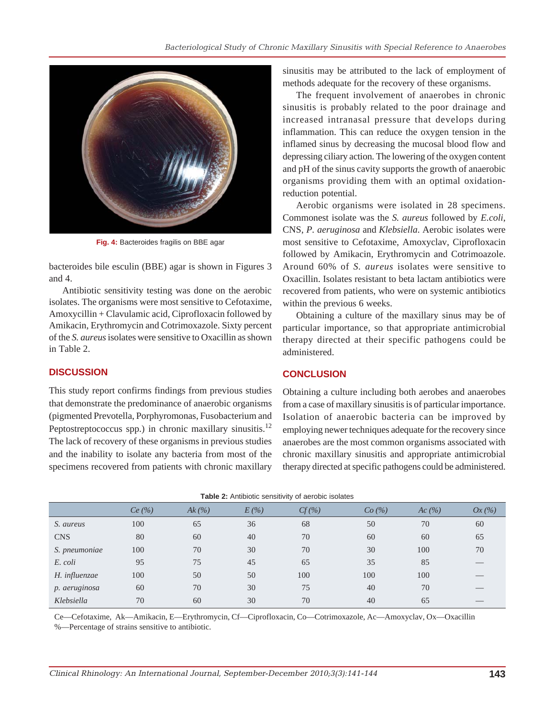

**Fig. 4:** Bacteroides fragilis on BBE agar

bacteroides bile esculin (BBE) agar is shown in Figures 3 and 4.

Antibiotic sensitivity testing was done on the aerobic isolates. The organisms were most sensitive to Cefotaxime, Amoxycillin + Clavulamic acid, Ciprofloxacin followed by Amikacin, Erythromycin and Cotrimoxazole. Sixty percent of the *S. aureus* isolates were sensitive to Oxacillin as shown in Table 2.

## **DISCUSSION**

This study report confirms findings from previous studies that demonstrate the predominance of anaerobic organisms (pigmented Prevotella, Porphyromonas, Fusobacterium and Peptostreptococcus spp.) in chronic maxillary sinusitis.<sup>12</sup> The lack of recovery of these organisms in previous studies and the inability to isolate any bacteria from most of the specimens recovered from patients with chronic maxillary sinusitis may be attributed to the lack of employment of methods adequate for the recovery of these organisms.

The frequent involvement of anaerobes in chronic sinusitis is probably related to the poor drainage and increased intranasal pressure that develops during inflammation. This can reduce the oxygen tension in the inflamed sinus by decreasing the mucosal blood flow and depressing ciliary action. The lowering of the oxygen content and pH of the sinus cavity supports the growth of anaerobic organisms providing them with an optimal oxidationreduction potential.

Aerobic organisms were isolated in 28 specimens. Commonest isolate was the *S. aureus* followed by *E.coli*, CNS, *P. aeruginosa* and *Klebsiella*. Aerobic isolates were most sensitive to Cefotaxime, Amoxyclav, Ciprofloxacin followed by Amikacin, Erythromycin and Cotrimoazole. Around 60% of *S. aureus* isolates were sensitive to Oxacillin. Isolates resistant to beta lactam antibiotics were recovered from patients, who were on systemic antibiotics within the previous 6 weeks.

Obtaining a culture of the maxillary sinus may be of particular importance, so that appropriate antimicrobial therapy directed at their specific pathogens could be administered.

## **CONCLUSION**

Obtaining a culture including both aerobes and anaerobes from a case of maxillary sinusitis is of particular importance. Isolation of anaerobic bacteria can be improved by employing newer techniques adequate for the recovery since anaerobes are the most common organisms associated with chronic maxillary sinusitis and appropriate antimicrobial therapy directed at specific pathogens could be administered.

| <b>Table 2:</b> Antibiotic sensitivity of aerobic isolates |         |          |        |  |  |  |
|------------------------------------------------------------|---------|----------|--------|--|--|--|
| Ak $\left( \frac{o}{\omega} \right)$                       | $F($ %) | $Cf(\%)$ | Ca (%) |  |  |  |

|               | Ce (%) | Ak(%) | E(%) | $Cf(\%)$ | Co(%) | Ac(%) | Ox(%) |
|---------------|--------|-------|------|----------|-------|-------|-------|
| S. aureus     | 100    | 65    | 36   | 68       | 50    | 70    | 60    |
| <b>CNS</b>    | 80     | 60    | 40   | 70       | 60    | 60    | 65    |
| S. pneumoniae | 100    | 70    | 30   | 70       | 30    | 100   | 70    |
| E. coli       | 95     | 75    | 45   | 65       | 35    | 85    |       |
| H. influenzae | 100    | 50    | 50   | 100      | 100   | 100   |       |
| p. aeruginosa | 60     | 70    | 30   | 75       | 40    | 70    |       |
| Klebsiella    | 70     | 60    | 30   | 70       | 40    | 65    |       |

Ce—Cefotaxime, Ak—Amikacin, E—Erythromycin, Cf—Ciprofloxacin, Co—Cotrimoxazole, Ac—Amoxyclav, Ox—Oxacillin

%—Percentage of strains sensitive to antibiotic.